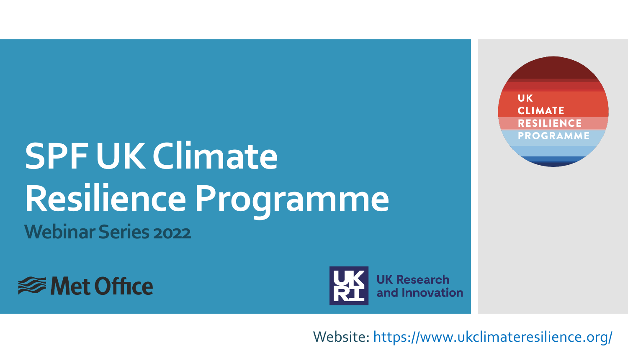## **SPF UK Climate Resilience Programme Webinar Series 2022**





**UK CLIMATE RESILIENCE PROGRAMME** 

Website: https://www.ukclimateresilience.org/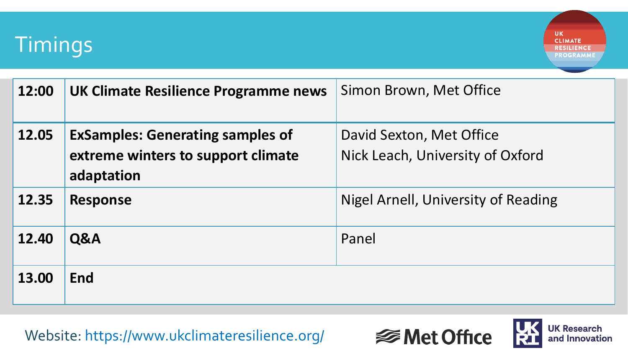

**UK CLIMATE RESILIENCE PROGRAMME** 

| 12:00 | UK Climate Resilience Programme news                                                        | Simon Brown, Met Office                                      |
|-------|---------------------------------------------------------------------------------------------|--------------------------------------------------------------|
| 12.05 | <b>ExSamples: Generating samples of</b><br>extreme winters to support climate<br>adaptation | David Sexton, Met Office<br>Nick Leach, University of Oxford |
| 12.35 | <b>Response</b>                                                                             | <b>Nigel Arnell, University of Reading</b>                   |
| 12.40 | Q&A                                                                                         | Panel                                                        |
| 13.00 | End                                                                                         |                                                              |

Website: https://www.ukclimateresilience.org/



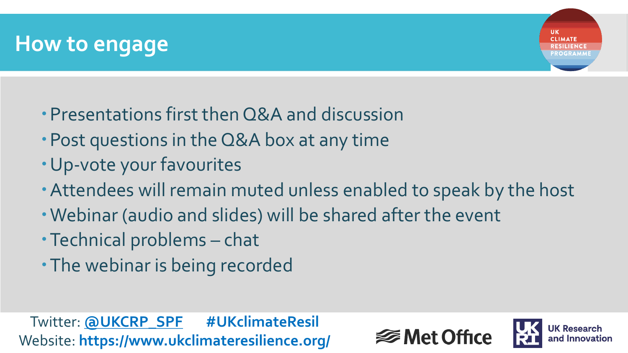

- Presentations first then Q&A and discussion
- Post questions in the Q&A box at any time
- Up-vote your favourites
- Attendees will remain muted unless enabled to speak by the host
- Webinar (audio and slides) will be shared after the event
- Technical problems chat
- The webinar is being recorded

Twitter: **@UKCRP\_SPF #UKclimateResil** Website: **https://www.ukclimateresilience.org/**



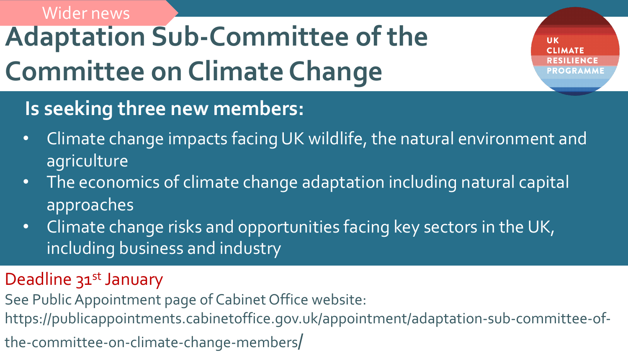## **Adaptation Sub-Committee of the Committee on Climate Change**  Wider news

**UK** 

### **Is seeking three new members:**

- Climate change impacts facing UK wildlife, the natural environment and agriculture
- The economics of climate change adaptation including natural capital approaches
- Climate change risks and opportunities facing key sectors in the UK, including business and industry

### Deadline 31<sup>st</sup> January

- See Public Appointment page of Cabinet Office website:
- https://publicappointments.cabinetoffice.gov.uk/appointment/adaptation-sub-committee-of-
- the-committee-on-climate-change-members/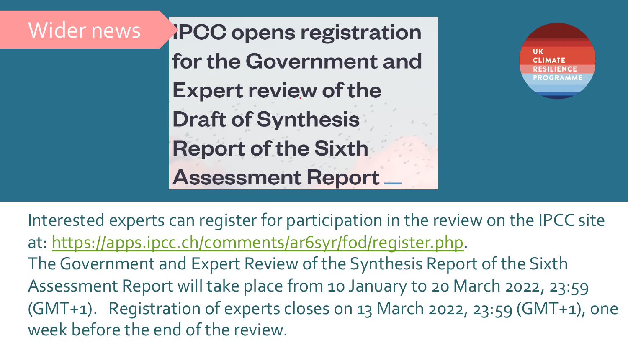## Wider newsPCC opens registration for the Government ar **Expert review of the Draft of Synthesis Report of the Sixth Assessment Report**

Interested experts can register for participation in at: https://apps.ipcc.ch/comments/ar6syr/fod/reqi The Government and Expert Review of the Synthe Assessment Report will take place from 10 Januar (GMT+1). Registration of experts closes on 13 Ma week before the end of the review.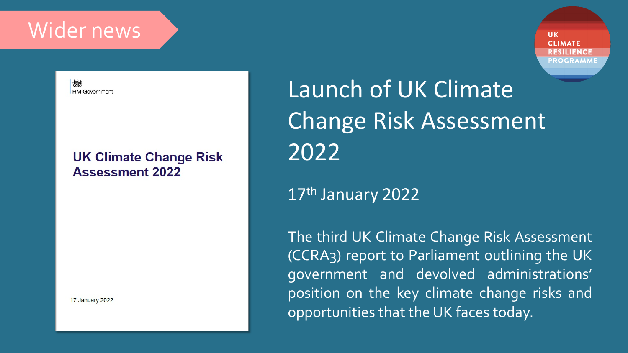### Wider news

**UK CLIMATE ESILIENCE PROGRAMME** 

微 **HM Government** 

#### **UK Climate Change Risk Assessment 2022**

17 January 2022

Launch of UK Climate Change Risk Assessment 2022

### 17th January 2022

The third UK Climate Change Risk Assessment (CCRA3) report to Parliament outlining the UK government and devolved administrations' position on the key climate change risks and opportunities that the UK faces today.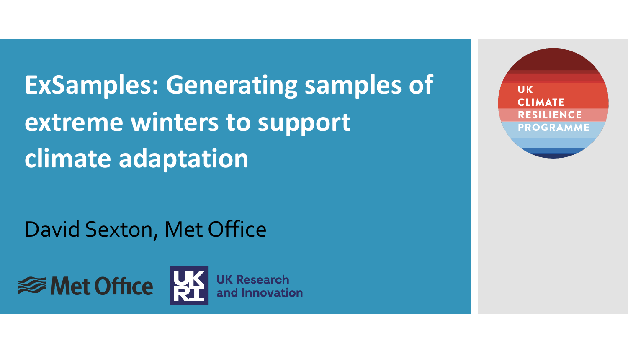**ExSamples: Generating samples of extreme winters to support climate adaptation**

David Sexton, Met Office



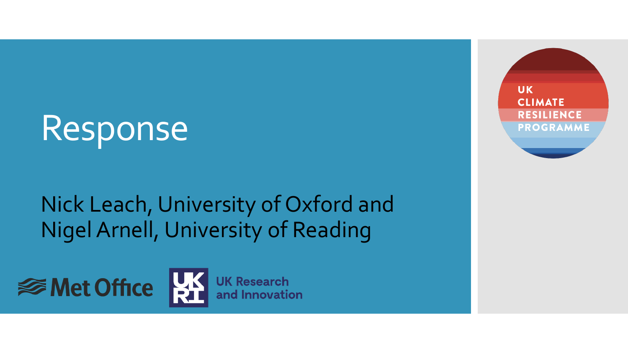# Response

## Nick Leach, University of Oxford and Nigel Arnell, University of Reading





**UK Research** and Innovation

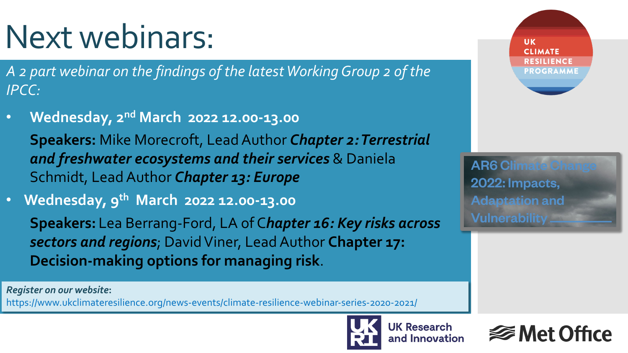# Next webinars:

- *A 2 part webinar on the findings of the latest Working Group 2 of the IPCC:*
- **Wednesday, 2nd March 2022 12.00-13.00**

**Speakers:** Mike Morecroft, Lead Author *Chapter 2: Terrestrial and freshwater ecosystems and their services* & Daniela Schmidt, Lead Author *Chapter 13: Europe*

• **Wednesday, 9th March 2022 12.00-13.00 Speakers:** Lea Berrang-Ford, LA of C*hapter 16: Key risks across sectors and regions*; David Viner, Lead Author **Chapter 17: Decision-making options for managing risk**.

*Register on our website***:** 

https://www.ukclimateresilience.org/news-events/climate-resilience-webinar-series-2020-2021/